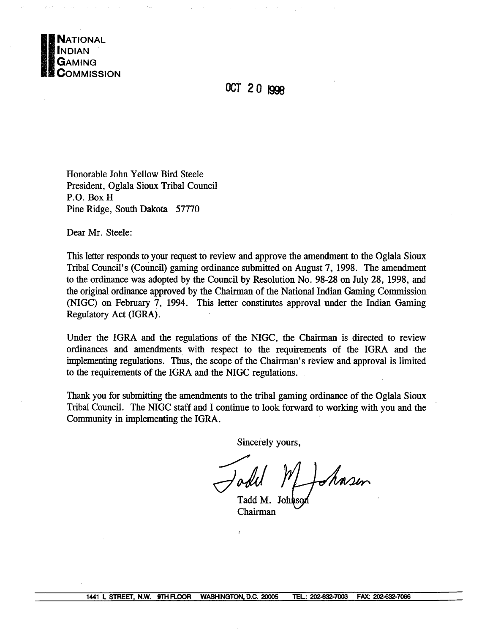

OCT 20 1998

Honorable John Yellow Bird Steele President, Oglala Sioux Tribal Council P.O. Box H Pine Ridge, South Dakota 57770

Dear Mr. Steele:

This letter responds to your request to review and approve the amendment to the Oglala Sioux Tribal Council's (Council) gaming ordinance submitted on August 7, 1998. The amendment to the ordinance was adopted by the Council by Resolution No. 98-28 on July 28, 1998, and the original ordinance approved by the Chairman of the National Indian Gaming Commission (NIGC) on February 7, 1994. This letter constitutes approval under the Indian Gaming Regulatory Act (IGRA).

Under the IGRA and the regulations of the NIGC, the Chairman is directed to review ordinances and amendments with respect to the requirements of the IGRA and the implementing regulations. Thus, the scope of the Chairman's review and approval is limited to the requirements of the IGRA and the NIGC regulations.

Thank you for submitting the amendments to the tribal gaming ordinance of the Oglala Sioux Tribal Council. The NIGC staff and I continue to look forward to working with you and the Community in implementing the IGRA.

Sincerely yours,

Shasen

Tadd M. Johns Chairman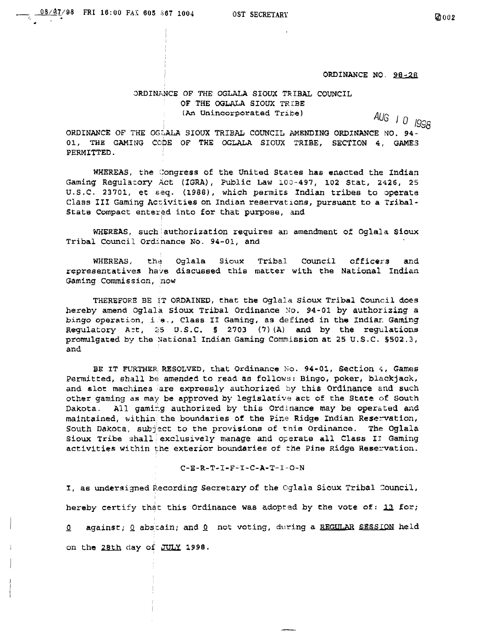**ORDINANCE NO. 98-28** 

## **ORDINANCE OF THE OGLALA SIOUX TRIBAL COUNCIL OF THE OGLALA SIOUX TRIBE** (An **Unincorporated Tribe**) **AUG**  $\vert$  0  $\vert$  998

**~1999 ORDINMCE OF THE OGLALA SIOUX TRIBAL COUNCIL AMENDING ORDThIANCE NO. 94- 01, THE GAMUTG CODE OF THE OGLALA SIOUX TRIBE, SECTION 4, GAMES PERMITTED.**

**WHEREAS, the Congress of the United States has enacted the Indian Gaming Regulacory Act (IGRA), Public Law 100-497, 102 Stat, 2426, 25 U.S.C. 23701, cc seq. (1988), which permits Indian tribes to operate Class III Gaming Activities on Indian reservations, pursuant to a Tribal-State Compact entered into for that purpose, and**

**WHEREAS, such authorization requires an amendment o~ Oglala Sioux Tribal Council Ordinance No. 94-01, and**

**WHEREASJ the Oglala Sioux Tribal Council officers and representatives ha,,e discussed this matter with the National Indian Gaming Commission, now**

**THEREFORE BE IT ORDAINED, that the Oglala Sioux Tribal Council does hereby amend OglalÆ Sioux Tribal Ordinance No. 94-01 by authorizing a bingo operation, is~, Class II Gaming, as defined in the Indian Gaming Regulatory A:t, 2~S U.S.C. § 2703 (7) (A) and by the regulations promulgated by the National Indian Gaming Commission at 25 U.S.C. §502.3, and**

**BE IT FURTHER RESOLVED, that Ordinance No. 94-01, Section i, Games Permitted, shall be amended to read as follows: Bingo, poker, blackjack, and slot machines are expressly authorized by this Ordinance and such other gaming as may be approved by legislative act of the State of South Dakota- All gami–g authorized by this Ordinance may be operated and maintained, within~ the boundaries of the Pine Ridge Indian Reservation, South Dakota, s~j:act to the provisions of this Ordinance. The Oglala Sioux Tribe shall exclusively manage and operate all Class II Gaming activities within the exterior boundaries of the Pine Ridge Reservation.**

**C-E-R.-T-I-F-I-C-A-T-I-O-N**

**I, as undersigned Recording Secretary of the Oglala Sioux Tribal Council, hereby certify th4t this Ordinance was adopted by the vote of: fl for; ~ against; 2 abstain; and fl not voting, during a REGULM SESSION held on the 2Ith day of JULY 1998.**